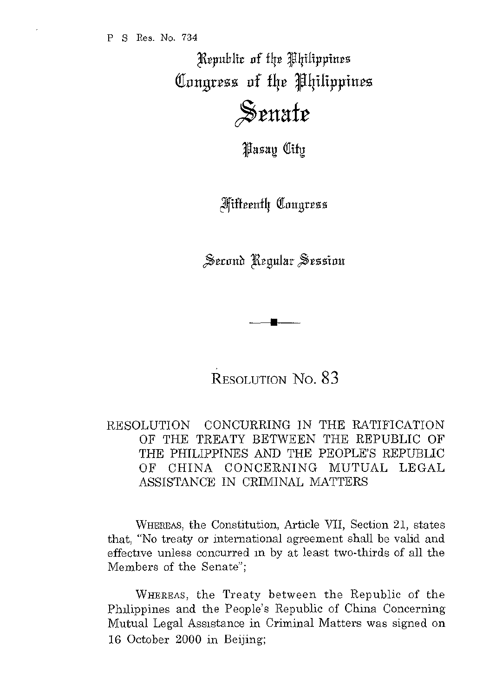Kepublic of the Philippines Congress of the Philippines

 $\frac{1}{2}$ **s**enate

*Hasay City* 

**Miffeenth Congress** 

Second Regular Session

RESOLUTION No. 83

**•** 

RESOLUTION CONCURRING IN THE RATIFICATION OF THE TREATY BETWEEN THE REPUBLIC OF THE PHILIPPINES AND THE PEOPLE'S REPUBLIC OF CHINA CONCERNING MUTUAL LEGAL ASSISTANCE IN CRIMINAL MATTERS

WHEREAS, the Constitution, Article VII, Section 21, states that, "No treaty or international agreement shall be valid and effective unless concurred in by at least two-thirds of all the Members of the Senate";

WHEREAS, the Treaty between the Republic of the Philippines and the People's Republic of China Concerning Mutual Legal ASSlstance in Criminal Matters was signed on 16 October 2000 in Beijing;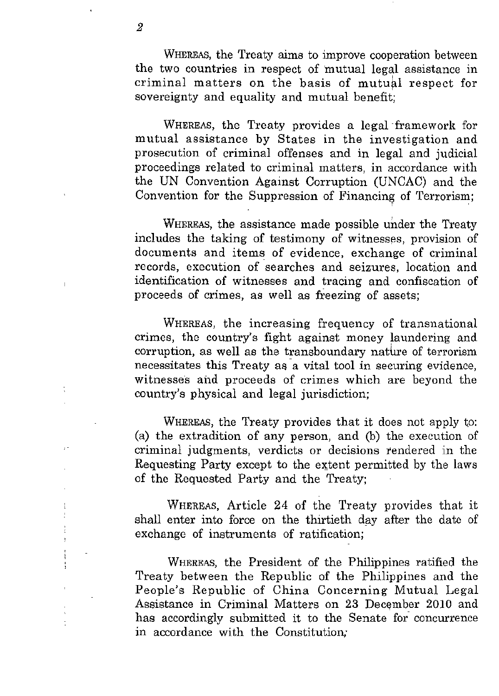WHEREAS, the Treaty aims to improve cooperation between the two countries in respect of mutual legal assistance in criminal matters on the basis of mutual respect for sovereignty and equality and mutual benefit:

WHEREAS, the Treaty provides a legal framework for mutual assistance by States in the investigation and prosecution of criminal offenses and in legal and judicial proceedings related to criminal matters, in accordance with the UN Convention Against Corruption (UNCAC) and the Convention for the Suppression of Financing of Terrorism;

WHEREAS, the assistance made possible under the Treaty includes the taking of testimony of witnesses, provision of documents and items of evidence, exchange of criminal records, execution of searches and seizures, location and identification of witnesses and tracing and confiscation of proceeds of crimes, as well as freezing of assets;

WHEREAS, the increasing frequency of transnational crimes, the country's fight against money laundering and corruption, as well as the transboundary nature of terrorism necessitates this Treaty as a vital tool in securing evidence, witnesses and proceeds of crimes which are beyond the country's physical and legal jurisdiction;

WHEREAS, the Treaty provides that it does not apply to: (a) the extradition of any person, and (b) the execution of criminal judgments, verdicts or decisions tendered in the Requesting Party except to the extent permitted by the laws of the Requested Party and the Treaty;

WHEREAS, Article 24 of the Treaty provides that it shall enter into force on the thirtieth day after the date of exchange of instruments of ratification;

WHEREAS, the President of the Philippines ratified the Treaty between the Republic of the Philippines and the People's Republic of China Concerning Mutual Legal Assistance in Criminal Matters on 23 December 2010 and has accordingly submitted it to the Senate for concurrence in accordance with the Constitution;

þ